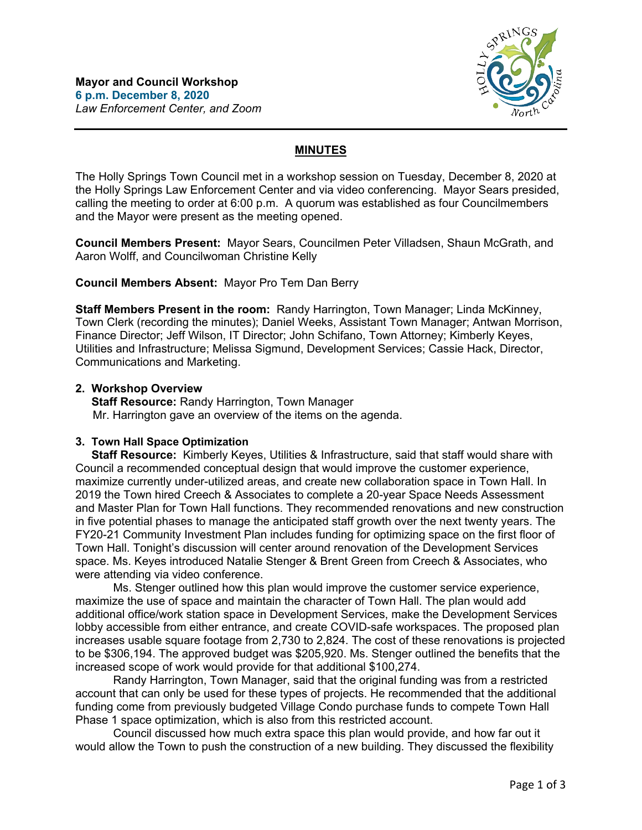

# **MINUTES**

The Holly Springs Town Council met in a workshop session on Tuesday, December 8, 2020 at the Holly Springs Law Enforcement Center and via video conferencing. Mayor Sears presided, calling the meeting to order at 6:00 p.m. A quorum was established as four Councilmembers and the Mayor were present as the meeting opened.

**Council Members Present:** Mayor Sears, Councilmen Peter Villadsen, Shaun McGrath, and Aaron Wolff, and Councilwoman Christine Kelly

## **Council Members Absent:** Mayor Pro Tem Dan Berry

**Staff Members Present in the room:** Randy Harrington, Town Manager; Linda McKinney, Town Clerk (recording the minutes); Daniel Weeks, Assistant Town Manager; Antwan Morrison, Finance Director; Jeff Wilson, IT Director; John Schifano, Town Attorney; Kimberly Keyes, Utilities and Infrastructure; Melissa Sigmund, Development Services; Cassie Hack, Director, Communications and Marketing.

### **2. Workshop Overview**

 **Staff Resource:** Randy Harrington, Town Manager Mr. Harrington gave an overview of the items on the agenda.

## **3. Town Hall Space Optimization**

 **Staff Resource:** Kimberly Keyes, Utilities & Infrastructure, said that staff would share with Council a recommended conceptual design that would improve the customer experience, maximize currently under-utilized areas, and create new collaboration space in Town Hall. In 2019 the Town hired Creech & Associates to complete a 20-year Space Needs Assessment and Master Plan for Town Hall functions. They recommended renovations and new construction in five potential phases to manage the anticipated staff growth over the next twenty years. The FY20-21 Community Investment Plan includes funding for optimizing space on the first floor of Town Hall. Tonight's discussion will center around renovation of the Development Services space. Ms. Keyes introduced Natalie Stenger & Brent Green from Creech & Associates, who were attending via video conference.

Ms. Stenger outlined how this plan would improve the customer service experience, maximize the use of space and maintain the character of Town Hall. The plan would add additional office/work station space in Development Services, make the Development Services lobby accessible from either entrance, and create COVID-safe workspaces. The proposed plan increases usable square footage from 2,730 to 2,824. The cost of these renovations is projected to be \$306,194. The approved budget was \$205,920. Ms. Stenger outlined the benefits that the increased scope of work would provide for that additional \$100,274.

Randy Harrington, Town Manager, said that the original funding was from a restricted account that can only be used for these types of projects. He recommended that the additional funding come from previously budgeted Village Condo purchase funds to compete Town Hall Phase 1 space optimization, which is also from this restricted account.

Council discussed how much extra space this plan would provide, and how far out it would allow the Town to push the construction of a new building. They discussed the flexibility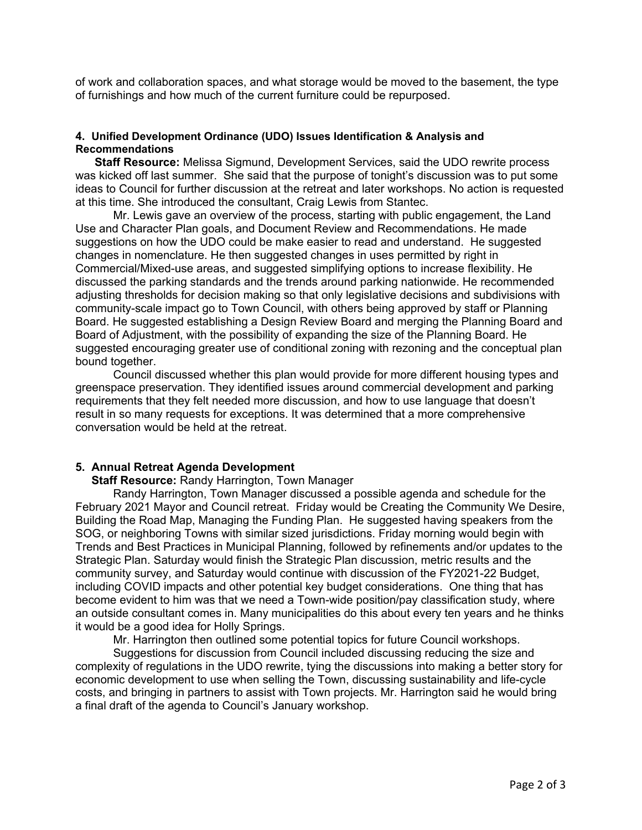of work and collaboration spaces, and what storage would be moved to the basement, the type of furnishings and how much of the current furniture could be repurposed.

#### **4. Unified Development Ordinance (UDO) Issues Identification & Analysis and Recommendations**

 **Staff Resource:** Melissa Sigmund, Development Services, said the UDO rewrite process was kicked off last summer. She said that the purpose of tonight's discussion was to put some ideas to Council for further discussion at the retreat and later workshops. No action is requested at this time. She introduced the consultant, Craig Lewis from Stantec.

Mr. Lewis gave an overview of the process, starting with public engagement, the Land Use and Character Plan goals, and Document Review and Recommendations. He made suggestions on how the UDO could be make easier to read and understand. He suggested changes in nomenclature. He then suggested changes in uses permitted by right in Commercial/Mixed-use areas, and suggested simplifying options to increase flexibility. He discussed the parking standards and the trends around parking nationwide. He recommended adjusting thresholds for decision making so that only legislative decisions and subdivisions with community-scale impact go to Town Council, with others being approved by staff or Planning Board. He suggested establishing a Design Review Board and merging the Planning Board and Board of Adjustment, with the possibility of expanding the size of the Planning Board. He suggested encouraging greater use of conditional zoning with rezoning and the conceptual plan bound together.

Council discussed whether this plan would provide for more different housing types and greenspace preservation. They identified issues around commercial development and parking requirements that they felt needed more discussion, and how to use language that doesn't result in so many requests for exceptions. It was determined that a more comprehensive conversation would be held at the retreat.

#### **5. Annual Retreat Agenda Development**

 **Staff Resource:** Randy Harrington, Town Manager

Randy Harrington, Town Manager discussed a possible agenda and schedule for the February 2021 Mayor and Council retreat. Friday would be Creating the Community We Desire, Building the Road Map, Managing the Funding Plan. He suggested having speakers from the SOG, or neighboring Towns with similar sized jurisdictions. Friday morning would begin with Trends and Best Practices in Municipal Planning, followed by refinements and/or updates to the Strategic Plan. Saturday would finish the Strategic Plan discussion, metric results and the community survey, and Saturday would continue with discussion of the FY2021-22 Budget, including COVID impacts and other potential key budget considerations. One thing that has become evident to him was that we need a Town-wide position/pay classification study, where an outside consultant comes in. Many municipalities do this about every ten years and he thinks it would be a good idea for Holly Springs.

Mr. Harrington then outlined some potential topics for future Council workshops.

Suggestions for discussion from Council included discussing reducing the size and complexity of regulations in the UDO rewrite, tying the discussions into making a better story for economic development to use when selling the Town, discussing sustainability and life-cycle costs, and bringing in partners to assist with Town projects. Mr. Harrington said he would bring a final draft of the agenda to Council's January workshop.